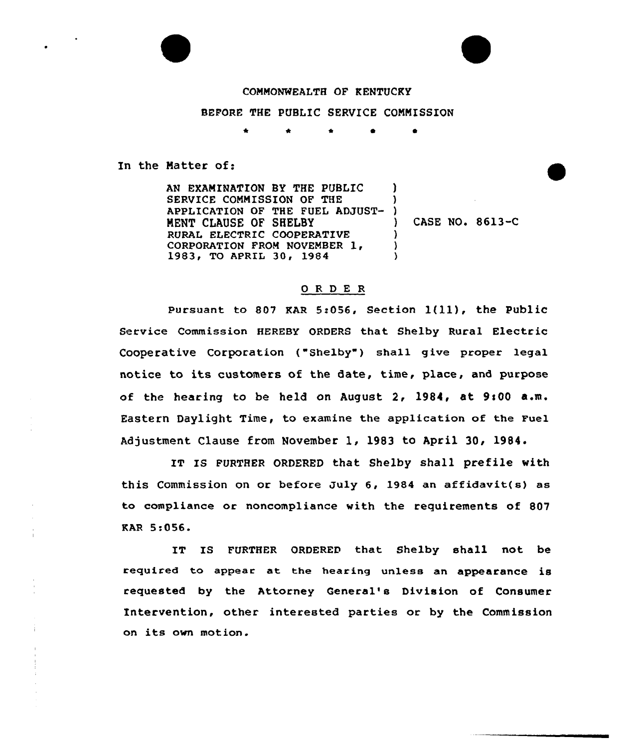

## COMMONWEALTH OF KENTUCKY BEFORE THE PUBLIC SERVICE COMMISSION

\* \* <sup>0</sup>

In the Matter of:

AN EXAMINATION BY THE PUBLIC SERVICE COMMISSION OF THE APPLICATION OF THE FUEL ADJUST-MENT CLAUSE OF SHELBY RURAL ELECTRIC COOPERATIVE CORPORATION FROM NOVEMBER 1, 1983, TO APRIL 30, 1984 ) )  $)$ ) ) }

) CASE NO. 8613-C

## ORDER

Pursuant to 807 KAR 5:056, Section  $1(11)$ , the Public Service Commission HEREBY ORDERS that Shelby Rural Electric Cooperative Corporation ("Shelby") shall give proper legal notice to its customers of the date, time, place, and purpose of the hearing to be held on August 2, 1984, at 9:00 a.m. Eastern Daylight Time, to examine the application of the Fuel Adjustment Clause from November 1, 1983 to April 30, 1984.

IT IS FURTHER ORDERED that Shelby shall prefile with this Commission on or before July 6, 1984 an affidavit(s} as to compliance or noncompliance with the requirements of 807 KAR 5:056.

IT IS FURTHER ORDERED that Shelby shall not be required to appear at the hearing unless an appearance is requested by the Attorney General's Division of Consumer Intervention, other interested parties or by the Commission on its own motion.